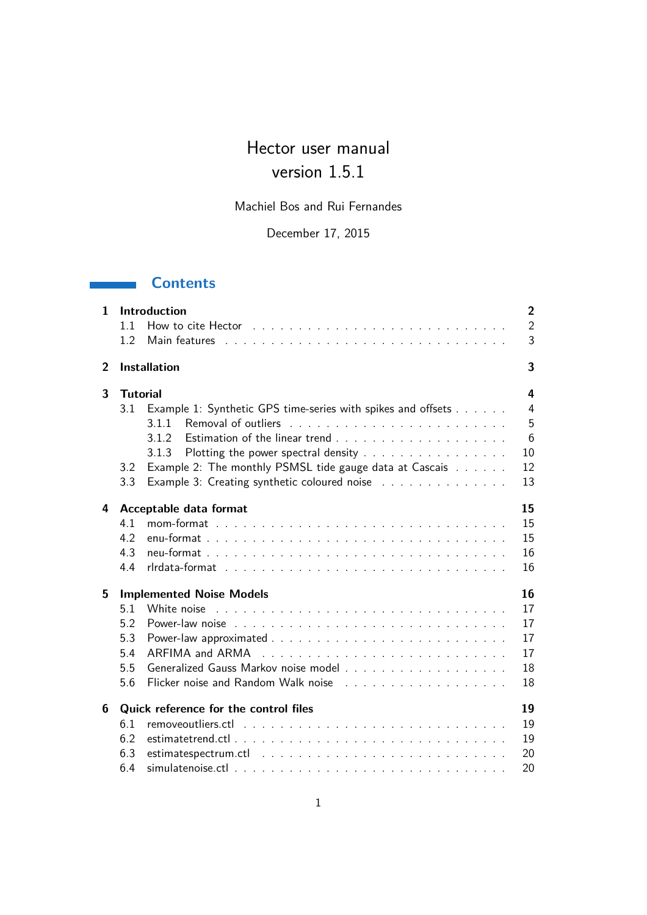# Hector user manual version 1.5.1

Machiel Bos and Rui Fernandes

December 17, 2015

## **Contents**

| $\mathbf{1}$   |                 | <b>Introduction</b>                                          | $\overline{2}$ |
|----------------|-----------------|--------------------------------------------------------------|----------------|
|                | 11              |                                                              | $\overline{2}$ |
|                | 1.2             |                                                              | 3              |
| $\overline{2}$ |                 | <b>Installation</b>                                          | 3              |
| 3              | <b>Tutorial</b> |                                                              | 4              |
|                | 3.1             | Example 1: Synthetic GPS time-series with spikes and offsets | 4              |
|                |                 | 3.1.1                                                        | 5              |
|                |                 | 3.1.2                                                        | 6              |
|                |                 | Plotting the power spectral density<br>3.1.3                 | 10             |
|                | 3.2             | Example 2: The monthly PSMSL tide gauge data at Cascais      | 12             |
|                | 3.3             | Example 3: Creating synthetic coloured noise                 | 13             |
| 4              |                 | Acceptable data format                                       | 15             |
|                | 4.1             |                                                              | 15             |
|                | 4.2             |                                                              | 15             |
|                | 4.3             |                                                              | 16             |
|                | 4.4             |                                                              | 16             |
| 5              |                 | <b>Implemented Noise Models</b>                              | 16             |
|                | 5.1             |                                                              | 17             |
|                | 5.2             |                                                              | 17             |
|                | 5.3             |                                                              | 17             |
|                | 5.4             |                                                              | 17             |
|                | 5.5             |                                                              | 18             |
|                | 5.6             |                                                              | 18             |
| 6              |                 | Quick reference for the control files                        | 19             |
|                | 6.1             |                                                              | 19             |
|                | 6.2             |                                                              | 19             |
|                | 6.3             |                                                              | 20             |
|                | 6.4             |                                                              | 20             |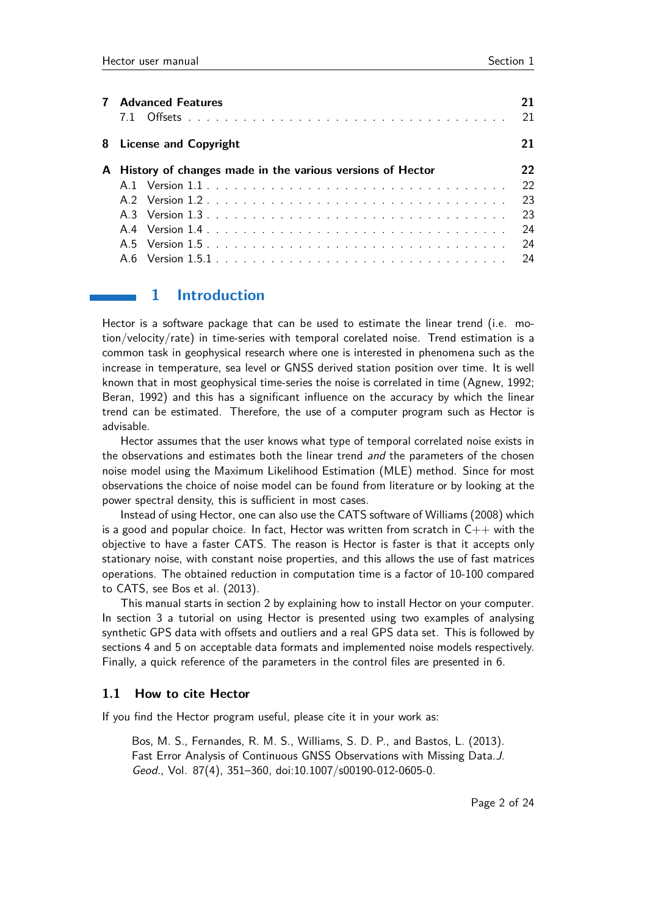| <b>Advanced Features</b>                                    | 21  |
|-------------------------------------------------------------|-----|
| 8 License and Copyright                                     | 21  |
| A History of changes made in the various versions of Hector | 22  |
|                                                             | 22  |
|                                                             | 23  |
|                                                             | -23 |
|                                                             | 24  |
|                                                             | 24  |
|                                                             |     |

## **1 Introduction**

Hector is a software package that can be used to estimate the linear trend (i.e. motion/velocity/rate) in time-series with temporal corelated noise. Trend estimation is a common task in geophysical research where one is interested in phenomena such as the increase in temperature, sea level or GNSS derived station position over time. It is well known that in most geophysical time-series the noise is correlated in time (Agnew, 1992; Beran, 1992) and this has a significant influence on the accuracy by which the linear trend can be estimated. Therefore, the use of a computer program such as Hector is advisable.

Hector assumes that the user knows what type of temporal correlated noise exists in the observations and estimates both the linear trend and the parameters of the chosen noise model using the Maximum Likelihood Estimation (MLE) method. Since for most observations the choice of noise model can be found from literature or by looking at the power spectral density, this is sufficient in most cases.

Instead of using Hector, one can also use the CATS software of Williams (2008) which is a good and popular choice. In fact, Hector was written from scratch in  $C_{++}$  with the objective to have a faster CATS. The reason is Hector is faster is that it accepts only stationary noise, with constant noise properties, and this allows the use of fast matrices operations. The obtained reduction in computation time is a factor of 10-100 compared to CATS, see Bos et al. (2013).

This manual starts in section 2 by explaining how to install Hector on your computer. In section 3 a tutorial on using Hector is presented using two examples of analysing synthetic GPS data with offsets and outliers and a real GPS data set. This is followed by sections 4 and 5 on acceptable data formats and implemented noise models respectively. Finally, a quick reference of the parameters in the control files are presented in 6.

#### **1.1 How to cite Hector**

If you find the Hector program useful, please cite it in your work as:

Bos, M. S., Fernandes, R. M. S., Williams, S. D. P., and Bastos, L. (2013). Fast Error Analysis of Continuous GNSS Observations with Missing Data.J. Geod., Vol. 87(4), 351–360, doi:10.1007/s00190-012-0605-0.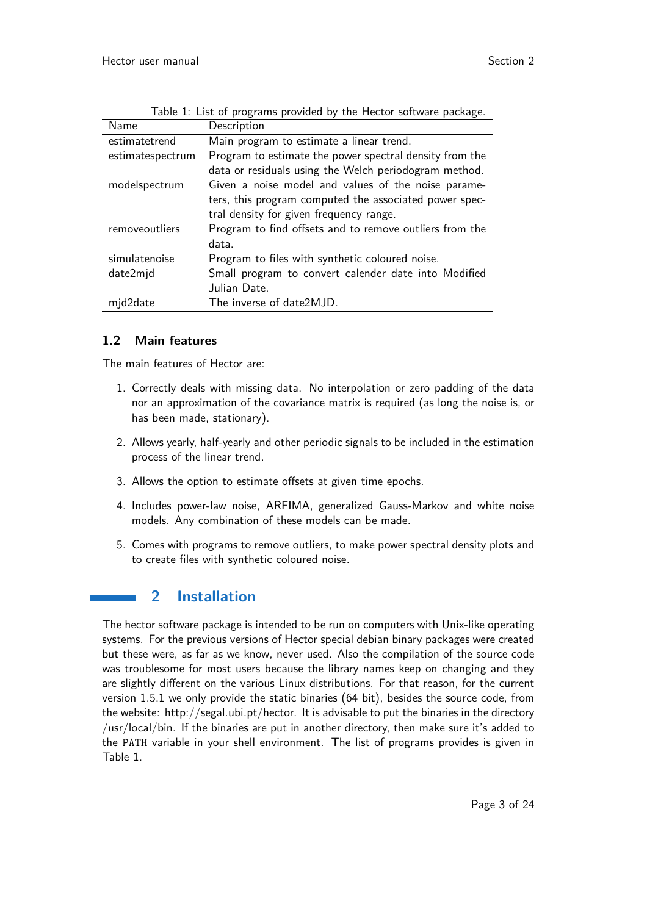| Name             | Description                                             |
|------------------|---------------------------------------------------------|
| estimatetrend    | Main program to estimate a linear trend.                |
| estimatespectrum | Program to estimate the power spectral density from the |
|                  | data or residuals using the Welch periodogram method.   |
| modelspectrum    | Given a noise model and values of the noise parame-     |
|                  | ters, this program computed the associated power spec-  |
|                  | tral density for given frequency range.                 |
| removeoutliers   | Program to find offsets and to remove outliers from the |
|                  | data.                                                   |
| simulatenoise    | Program to files with synthetic coloured noise.         |
| date2mjd         | Small program to convert calender date into Modified    |
|                  | Julian Date.                                            |
| mjd2date         | The inverse of date2MJD.                                |

Table 1: List of programs provided by the Hector software package.

### **1.2 Main features**

The main features of Hector are:

- 1. Correctly deals with missing data. No interpolation or zero padding of the data nor an approximation of the covariance matrix is required (as long the noise is, or has been made, stationary).
- 2. Allows yearly, half-yearly and other periodic signals to be included in the estimation process of the linear trend.
- 3. Allows the option to estimate offsets at given time epochs.
- 4. Includes power-law noise, ARFIMA, generalized Gauss-Markov and white noise models. Any combination of these models can be made.
- 5. Comes with programs to remove outliers, to make power spectral density plots and to create files with synthetic coloured noise.

## **2 Installation**

The hector software package is intended to be run on computers with Unix-like operating systems. For the previous versions of Hector special debian binary packages were created but these were, as far as we know, never used. Also the compilation of the source code was troublesome for most users because the library names keep on changing and they are slightly different on the various Linux distributions. For that reason, for the current version 1.5.1 we only provide the static binaries (64 bit), besides the source code, from the website: http://segal.ubi.pt/hector. It is advisable to put the binaries in the directory /usr/local/bin. If the binaries are put in another directory, then make sure it's added to the PATH variable in your shell environment. The list of programs provides is given in Table 1.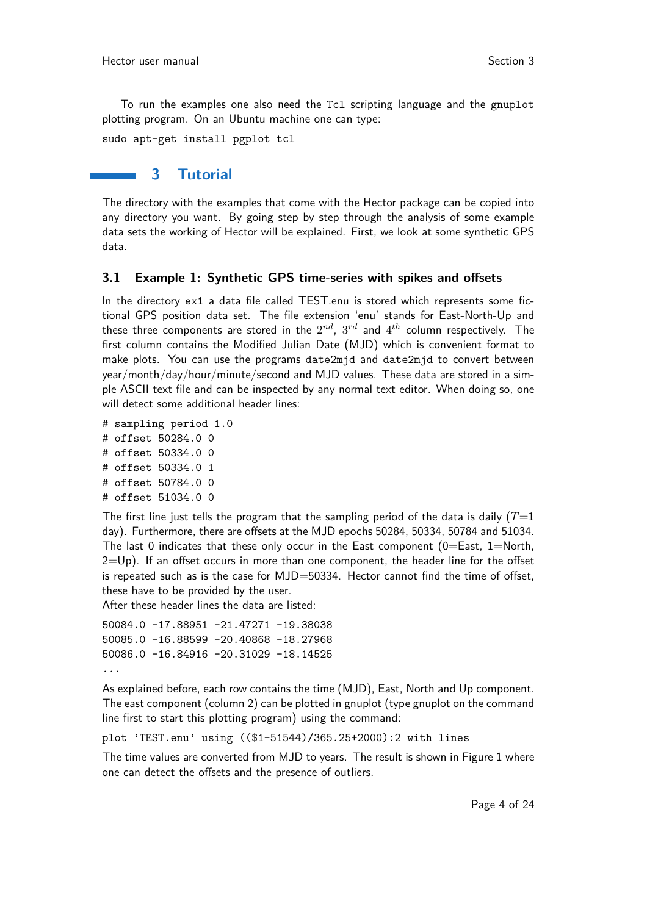To run the examples one also need the Tcl scripting language and the gnuplot plotting program. On an Ubuntu machine one can type:

sudo apt-get install pgplot tcl

### **3 Tutorial**

The directory with the examples that come with the Hector package can be copied into any directory you want. By going step by step through the analysis of some example data sets the working of Hector will be explained. First, we look at some synthetic GPS data.

#### **3.1 Example 1: Synthetic GPS time-series with spikes and offsets**

In the directory ex1 a data file called TEST.enu is stored which represents some fictional GPS position data set. The file extension 'enu' stands for East-North-Up and these three components are stored in the  $2^{nd}$ ,  $3^{rd}$  and  $4^{th}$  column respectively. The first column contains the Modified Julian Date (MJD) which is convenient format to make plots. You can use the programs date2mjd and date2mjd to convert between year/month/day/hour/minute/second and MJD values. These data are stored in a simple ASCII text file and can be inspected by any normal text editor. When doing so, one will detect some additional header lines:

- # sampling period 1.0 # offset 50284.0 0 # offset 50334.0 0
- # offset 50334.0 1
- # offset 50784.0 0
- # offset 51034.0 0

The first line just tells the program that the sampling period of the data is daily  $(T=1)$ day). Furthermore, there are offsets at the MJD epochs 50284, 50334, 50784 and 51034. The last 0 indicates that these only occur in the East component  $(0=Ex, 1=North,$  $2=Up$ ). If an offset occurs in more than one component, the header line for the offset is repeated such as is the case for MJD=50334. Hector cannot find the time of offset, these have to be provided by the user.

After these header lines the data are listed:

```
50084.0 -17.88951 -21.47271 -19.38038
50085.0 -16.88599 -20.40868 -18.27968
50086.0 -16.84916 -20.31029 -18.14525
...
```
As explained before, each row contains the time (MJD), East, North and Up component. The east component (column 2) can be plotted in gnuplot (type gnuplot on the command line first to start this plotting program) using the command:

plot 'TEST.enu' using ((\$1-51544)/365.25+2000):2 with lines

The time values are converted from MJD to years. The result is shown in Figure 1 where one can detect the offsets and the presence of outliers.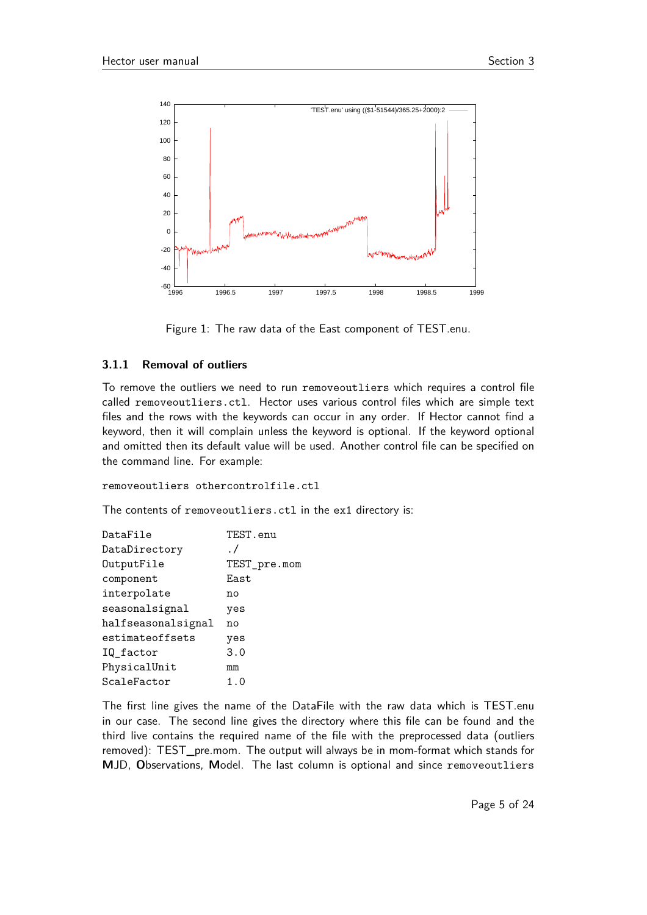

Figure 1: The raw data of the East component of TEST.enu.

#### **3.1.1 Removal of outliers**

To remove the outliers we need to run removeoutliers which requires a control file called removeoutliers.ctl. Hector uses various control files which are simple text files and the rows with the keywords can occur in any order. If Hector cannot find a keyword, then it will complain unless the keyword is optional. If the keyword optional and omitted then its default value will be used. Another control file can be specified on the command line. For example:

```
removeoutliers othercontrolfile.ctl
```
The contents of removeoutliers.ctl in the ex1 directory is:

| DataFile           | TEST.enu     |
|--------------------|--------------|
| DataDirectory      | $\cdot$ /    |
| OutputFile         | TEST_pre.mom |
| component          | East         |
| interpolate        | no           |
| seasonalsignal     | yes          |
| halfseasonalsignal | no           |
| estimateoffsets    | yes          |
| IQ_factor          | 3.0          |
| PhysicalUnit       | mm           |
| ScaleFactor        | 1.0          |

The first line gives the name of the DataFile with the raw data which is TEST.enu in our case. The second line gives the directory where this file can be found and the third live contains the required name of the file with the preprocessed data (outliers removed): TEST\_pre.mom. The output will always be in mom-format which stands for **M**JD, **O**bservations, **M**odel. The last column is optional and since removeoutliers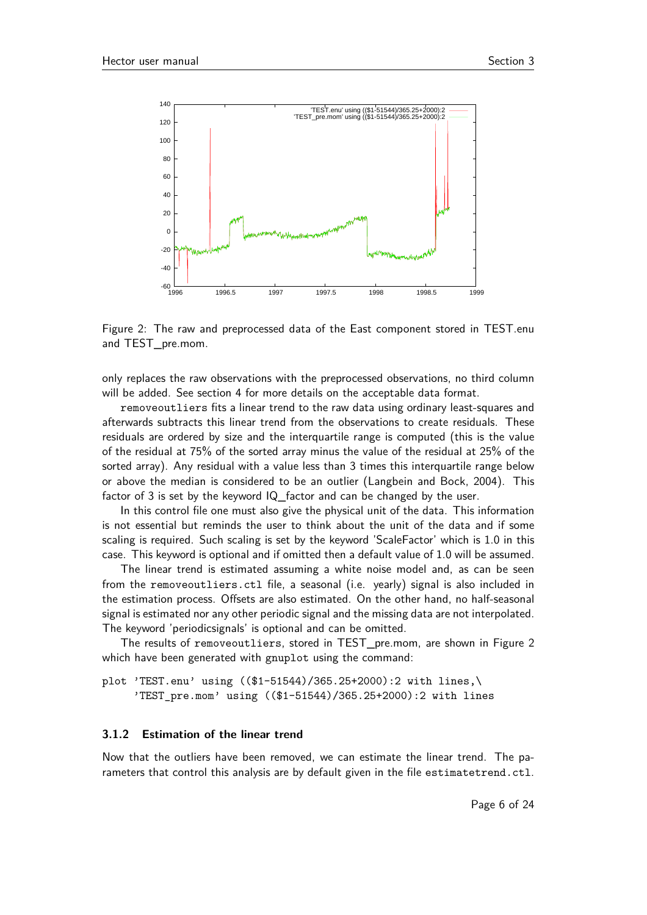

Figure 2: The raw and preprocessed data of the East component stored in TEST.enu and TEST\_pre.mom.

only replaces the raw observations with the preprocessed observations, no third column will be added. See section 4 for more details on the acceptable data format.

removeoutliers fits a linear trend to the raw data using ordinary least-squares and afterwards subtracts this linear trend from the observations to create residuals. These residuals are ordered by size and the interquartile range is computed (this is the value of the residual at 75% of the sorted array minus the value of the residual at 25% of the sorted array). Any residual with a value less than 3 times this interquartile range below or above the median is considered to be an outlier (Langbein and Bock, 2004). This factor of 3 is set by the keyword IQ factor and can be changed by the user.

In this control file one must also give the physical unit of the data. This information is not essential but reminds the user to think about the unit of the data and if some scaling is required. Such scaling is set by the keyword 'ScaleFactor' which is 1.0 in this case. This keyword is optional and if omitted then a default value of 1.0 will be assumed.

The linear trend is estimated assuming a white noise model and, as can be seen from the removeoutliers.ctl file, a seasonal (i.e. yearly) signal is also included in the estimation process. Offsets are also estimated. On the other hand, no half-seasonal signal is estimated nor any other periodic signal and the missing data are not interpolated. The keyword 'periodicsignals' is optional and can be omitted.

The results of removeoutliers, stored in TEST\_pre.mom, are shown in Figure 2 which have been generated with gnuplot using the command:

plot 'TEST.enu' using ((\$1-51544)/365.25+2000):2 with lines,\ 'TEST\_pre.mom' using ((\$1-51544)/365.25+2000):2 with lines

#### **3.1.2 Estimation of the linear trend**

Now that the outliers have been removed, we can estimate the linear trend. The parameters that control this analysis are by default given in the file estimatetrend.ctl.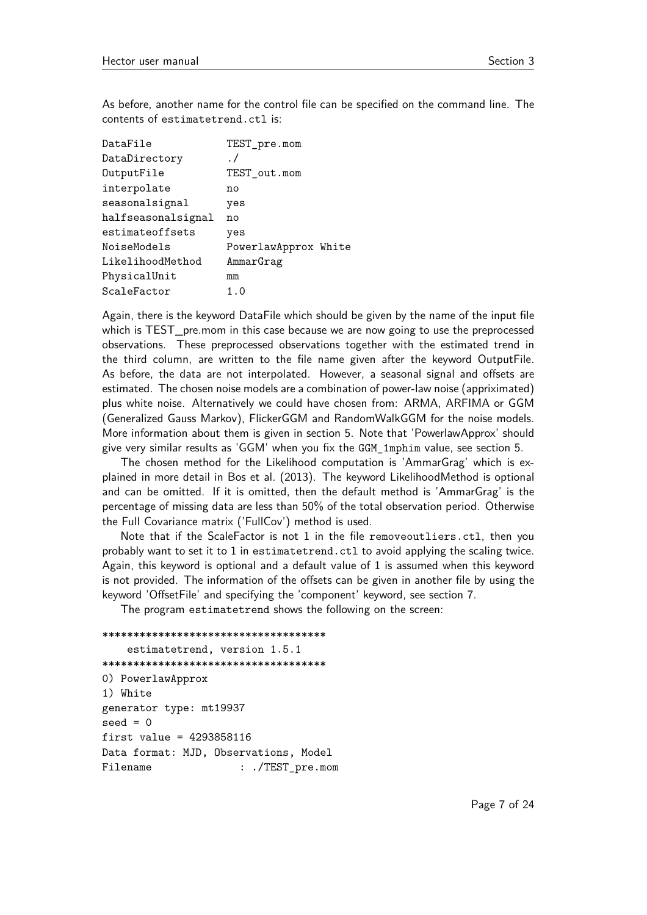As before, another name for the control file can be specified on the command line. The contents of estimatetrend.ctl is:

| DataFile           | TEST_pre.mom         |
|--------------------|----------------------|
| DataDirectory      | $\cdot$ /            |
| OutputFile         | TEST_out.mom         |
| interpolate        | no                   |
| seasonalsignal     | yes                  |
| halfseasonalsignal | n٥                   |
| estimateoffsets    | yes                  |
| NoiseModels        | PowerlawApprox White |
| LikelihoodMethod   | AmmarGrag            |
| PhysicalUnit       | mm                   |
| ScaleFactor        | 1.0                  |

Again, there is the keyword DataFile which should be given by the name of the input file which is TEST\_pre.mom in this case because we are now going to use the preprocessed observations. These preprocessed observations together with the estimated trend in the third column, are written to the file name given after the keyword OutputFile. As before, the data are not interpolated. However, a seasonal signal and offsets are estimated. The chosen noise models are a combination of power-law noise (appriximated) plus white noise. Alternatively we could have chosen from: ARMA, ARFIMA or GGM (Generalized Gauss Markov), FlickerGGM and RandomWalkGGM for the noise models. More information about them is given in section 5. Note that 'PowerlawApprox' should give very similar results as 'GGM' when you fix the GGM\_1mphim value, see section 5.

The chosen method for the Likelihood computation is 'AmmarGrag' which is explained in more detail in Bos et al. (2013). The keyword LikelihoodMethod is optional and can be omitted. If it is omitted, then the default method is 'AmmarGrag' is the percentage of missing data are less than 50% of the total observation period. Otherwise the Full Covariance matrix ('FullCov') method is used.

Note that if the ScaleFactor is not 1 in the file removeoutliers.ctl, then you probably want to set it to 1 in estimatetrend.ctl to avoid applying the scaling twice. Again, this keyword is optional and a default value of 1 is assumed when this keyword is not provided. The information of the offsets can be given in another file by using the keyword 'OffsetFile' and specifying the 'component' keyword, see section 7.

The program estimatetrend shows the following on the screen:

```
************************************
   estimatetrend, version 1.5.1
************************************
0) PowerlawApprox
1) White
generator type: mt19937
seed = 0first value = 4293858116
Data format: MJD, Observations, Model
Filename : ./TEST_pre.mom
```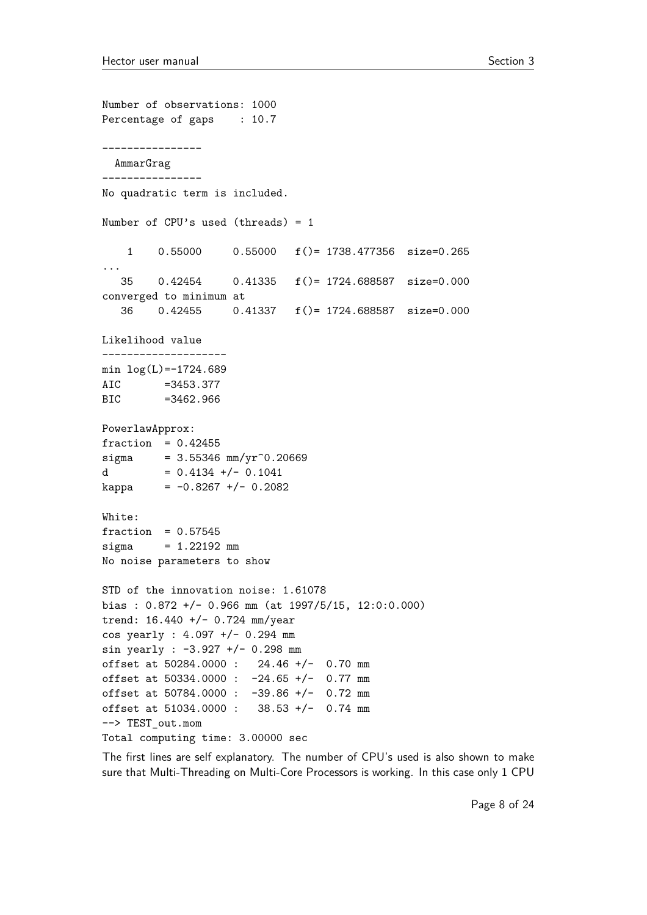```
Number of observations: 1000
Percentage of gaps : 10.7
----------------
 AmmarGrag
----------------
No quadratic term is included.
Number of CPU's used (threads) = 1
   1 0.55000 0.55000 f()= 1738.477356 size=0.265
...
   35 0.42454 0.41335 f()= 1724.688587 size=0.000
converged to minimum at
   36 0.42455 0.41337 f()= 1724.688587 size=0.000
Likelihood value
--------------------
min log(L)=-1724.689
AIC =3453.377
BIC =3462.966
PowerlawApprox:
fraction = 0.42455sigma = 3.55346 mm/yr<sup>\degree0.20669</sup>
d = 0.4134 +/- 0.1041
kappa = -0.8267 +/- 0.2082
White:
fraction = 0.57545sigma = 1.22192 mm
No noise parameters to show
STD of the innovation noise: 1.61078
bias : 0.872 +/- 0.966 mm (at 1997/5/15, 12:0:0.000)
trend: 16.440 +/- 0.724 mm/year
cos yearly : 4.097 +/- 0.294 mm
sin yearly : -3.927 +/- 0.298 mm
offset at 50284.0000 : 24.46 +/- 0.70 mm
offset at 50334.0000 : -24.65 +/- 0.77 mm
offset at 50784.0000 : -39.86 +/- 0.72 mm
offset at 51034.0000 : 38.53 +/- 0.74 mm
--> TEST_out.mom
Total computing time: 3.00000 sec
```
The first lines are self explanatory. The number of CPU's used is also shown to make sure that Multi-Threading on Multi-Core Processors is working. In this case only 1 CPU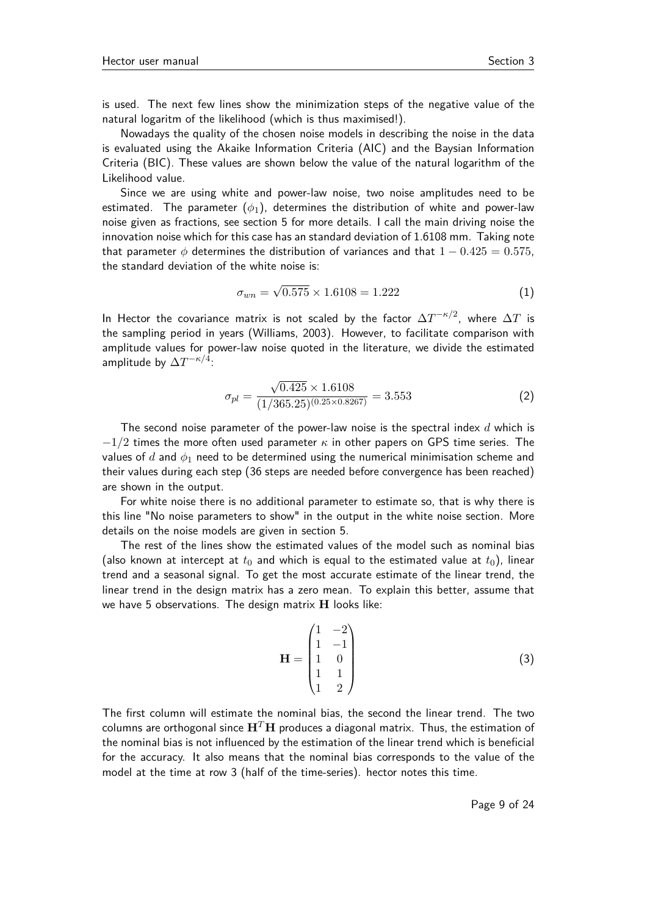is used. The next few lines show the minimization steps of the negative value of the natural logaritm of the likelihood (which is thus maximised!).

Nowadays the quality of the chosen noise models in describing the noise in the data is evaluated using the Akaike Information Criteria (AIC) and the Baysian Information Criteria (BIC). These values are shown below the value of the natural logarithm of the Likelihood value.

Since we are using white and power-law noise, two noise amplitudes need to be estimated. The parameter  $(\phi_1)$ , determines the distribution of white and power-law noise given as fractions, see section 5 for more details. I call the main driving noise the innovation noise which for this case has an standard deviation of 1.6108 mm. Taking note that parameter  $\phi$  determines the distribution of variances and that  $1 - 0.425 = 0.575$ , the standard deviation of the white noise is:

$$
\sigma_{wn} = \sqrt{0.575} \times 1.6108 = 1.222 \tag{1}
$$

In Hector the covariance matrix is not scaled by the factor  $\Delta T^{-\kappa/2}$ , where  $\Delta T$  is the sampling period in years (Williams, 2003). However, to facilitate comparison with amplitude values for power-law noise quoted in the literature, we divide the estimated amplitude by  $\Delta T^{-\kappa/4}$ :

$$
\sigma_{pl} = \frac{\sqrt{0.425} \times 1.6108}{(1/365.25)^{(0.25 \times 0.8267)}} = 3.553
$$
 (2)

The second noise parameter of the power-law noise is the spectral index *d* which is −1*/*2 times the more often used parameter *κ* in other papers on GPS time series. The values of *d* and *φ*<sup>1</sup> need to be determined using the numerical minimisation scheme and their values during each step (36 steps are needed before convergence has been reached) are shown in the output.

For white noise there is no additional parameter to estimate so, that is why there is this line "No noise parameters to show" in the output in the white noise section. More details on the noise models are given in section 5.

The rest of the lines show the estimated values of the model such as nominal bias (also known at intercept at  $t_0$  and which is equal to the estimated value at  $t_0$ ), linear trend and a seasonal signal. To get the most accurate estimate of the linear trend, the linear trend in the design matrix has a zero mean. To explain this better, assume that we have 5 observations. The design matrix **H** looks like:

$$
\mathbf{H} = \begin{pmatrix} 1 & -2 \\ 1 & -1 \\ 1 & 0 \\ 1 & 1 \\ 1 & 2 \end{pmatrix}
$$
 (3)

The first column will estimate the nominal bias, the second the linear trend. The two columns are orthogonal since  $H<sup>T</sup>H$  produces a diagonal matrix. Thus, the estimation of the nominal bias is not influenced by the estimation of the linear trend which is beneficial for the accuracy. It also means that the nominal bias corresponds to the value of the model at the time at row 3 (half of the time-series). hector notes this time.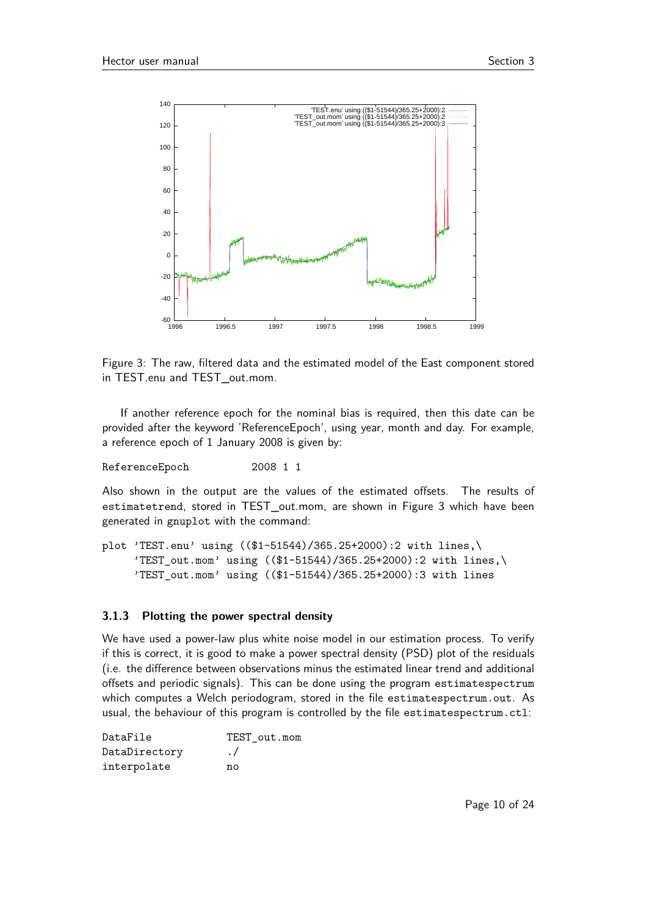

Figure 3: The raw, filtered data and the estimated model of the East component stored in TEST.enu and TEST out.mom.

If another reference epoch for the nominal bias is required, then this date can be provided after the keyword 'ReferenceEpoch', using year, month and day. For example, a reference epoch of 1 January 2008 is given by:

ReferenceEpoch 2008 1 1

Also shown in the output are the values of the estimated offsets. The results of estimatetrend, stored in TEST\_out.mom, are shown in Figure 3 which have been generated in gnuplot with the command:

```
plot 'TEST.enu' using (($1-51544)/365.25+2000):2 with lines,\
     'TEST_out.mom' using (($1-51544)/365.25+2000):2 with lines,\
     'TEST_out.mom' using (($1-51544)/365.25+2000):3 with lines
```
#### **3.1.3 Plotting the power spectral density**

We have used a power-law plus white noise model in our estimation process. To verify if this is correct, it is good to make a power spectral density (PSD) plot of the residuals (i.e. the difference between observations minus the estimated linear trend and additional offsets and periodic signals). This can be done using the program estimatespectrum which computes a Welch periodogram, stored in the file estimatespectrum, out. As usual, the behaviour of this program is controlled by the file estimatespectrum.ctl:

| DataFile      | TEST out.mom |
|---------------|--------------|
| DataDirectory | $\cdot$ /    |
| interpolate   | nο           |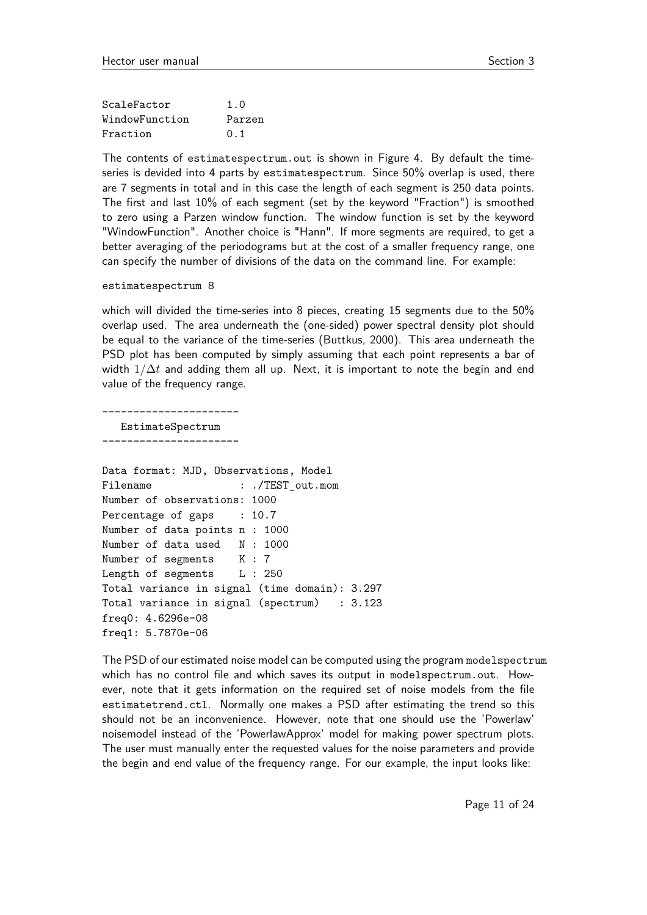| ScaleFactor    | 1.0    |
|----------------|--------|
| WindowFunction | Parzen |
| Fraction       | 0.1    |

The contents of estimatespectrum.out is shown in Figure 4. By default the timeseries is devided into 4 parts by estimatespectrum. Since 50% overlap is used, there are 7 segments in total and in this case the length of each segment is 250 data points. The first and last 10% of each segment (set by the keyword "Fraction") is smoothed to zero using a Parzen window function. The window function is set by the keyword "WindowFunction". Another choice is "Hann". If more segments are required, to get a better averaging of the periodograms but at the cost of a smaller frequency range, one can specify the number of divisions of the data on the command line. For example:

estimatespectrum 8

which will divided the time-series into 8 pieces, creating 15 segments due to the 50% overlap used. The area underneath the (one-sided) power spectral density plot should be equal to the variance of the time-series (Buttkus, 2000). This area underneath the PSD plot has been computed by simply assuming that each point represents a bar of width  $1/\Delta t$  and adding them all up. Next, it is important to note the begin and end value of the frequency range.

---------------------- EstimateSpectrum ----------------------

```
Data format: MJD, Observations, Model
Filename : ./TEST out.mom
Number of observations: 1000
Percentage of gaps : 10.7
Number of data points n : 1000
Number of data used N : 1000
Number of segments K : 7
Length of segments L : 250
Total variance in signal (time domain): 3.297
Total variance in signal (spectrum) : 3.123
freq0: 4.6296e-08
freq1: 5.7870e-06
```
The PSD of our estimated noise model can be computed using the program modelspectrum which has no control file and which saves its output in modelspectrum.out. However, note that it gets information on the required set of noise models from the file estimatetrend.ctl. Normally one makes a PSD after estimating the trend so this should not be an inconvenience. However, note that one should use the 'Powerlaw' noisemodel instead of the 'PowerlawApprox' model for making power spectrum plots. The user must manually enter the requested values for the noise parameters and provide the begin and end value of the frequency range. For our example, the input looks like: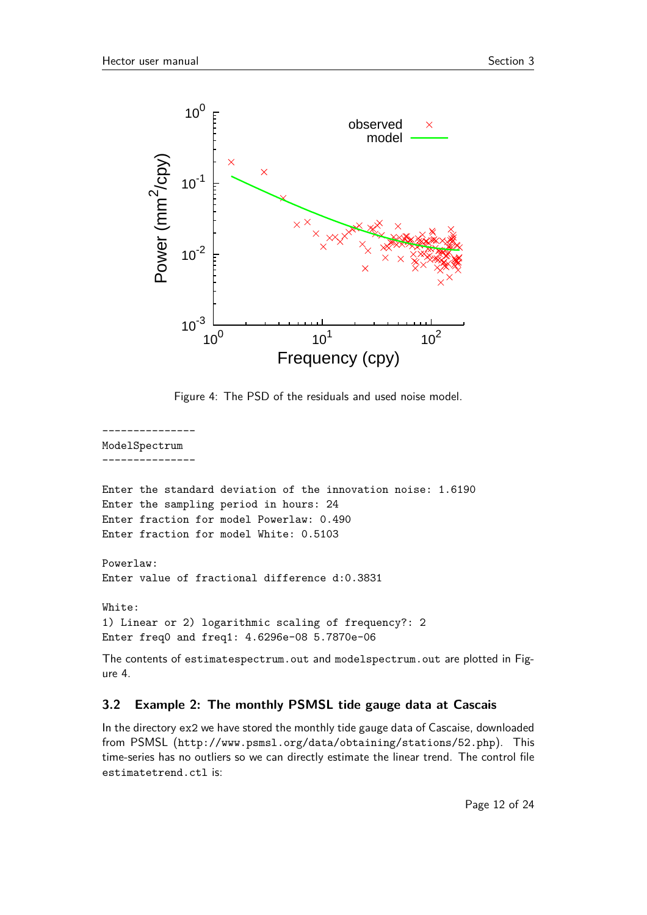

Figure 4: The PSD of the residuals and used noise model.

---------------

ModelSpectrum ---------------

```
Enter the standard deviation of the innovation noise: 1.6190
Enter the sampling period in hours: 24
Enter fraction for model Powerlaw: 0.490
Enter fraction for model White: 0.5103
```
Powerlaw: Enter value of fractional difference d:0.3831

White: 1) Linear or 2) logarithmic scaling of frequency?: 2 Enter freq0 and freq1: 4.6296e-08 5.7870e-06

The contents of estimatespectrum.out and modelspectrum.out are plotted in Figure 4.

## **3.2 Example 2: The monthly PSMSL tide gauge data at Cascais**

In the directory ex2 we have stored the monthly tide gauge data of Cascaise, downloaded from PSMSL (http://www.psmsl.org/data/obtaining/stations/52.php). This time-series has no outliers so we can directly estimate the linear trend. The control file estimatetrend.ctl is: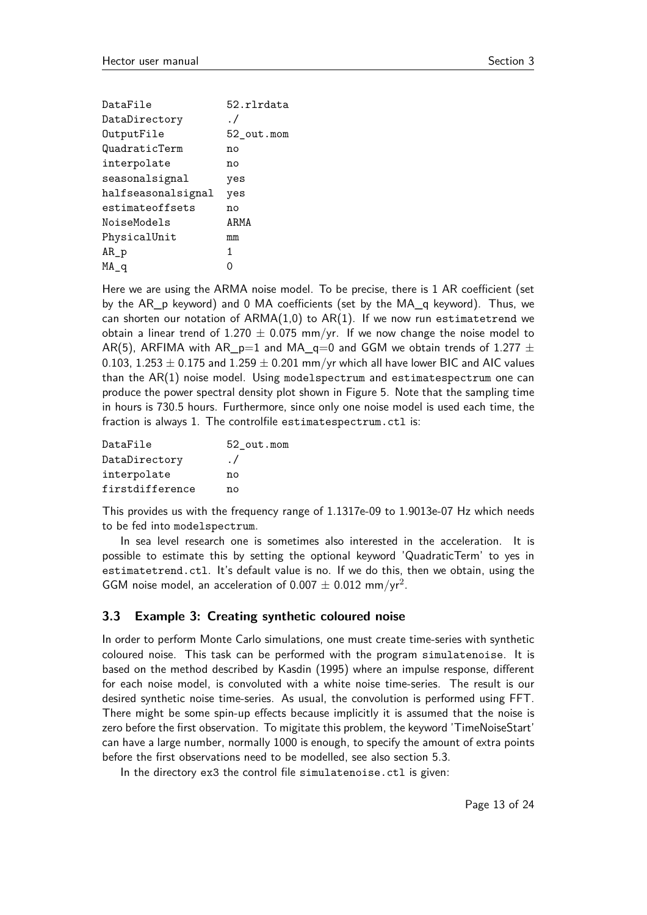| DataFile           | 52.rlrdata |
|--------------------|------------|
| DataDirectory      | . /        |
| OutputFile         | 52 out.mom |
| QuadraticTerm      | no         |
| interpolate        | no         |
| seasonalsignal     | yes        |
| halfseasonalsignal | yes        |
| estimateoffsets    | no         |
| NoiseModels        | ARMA       |
| PhysicalUnit       | mm         |
| $AR_p$             | 1.         |
| MA q               |            |
|                    |            |

Here we are using the ARMA noise model. To be precise, there is 1 AR coefficient (set by the AR\_p keyword) and 0 MA coefficients (set by the MA\_q keyword). Thus, we can shorten our notation of  $ARMA(1,0)$  to  $AR(1)$ . If we now run estimatetrend we obtain a linear trend of 1.270  $\pm$  0.075 mm/yr. If we now change the noise model to AR(5), ARFIMA with AR\_p=1 and MA\_q=0 and GGM we obtain trends of 1.277  $\pm$ 0.103, 1.253  $\pm$  0.175 and 1.259  $\pm$  0.201 mm/yr which all have lower BIC and AIC values than the AR(1) noise model. Using modelspectrum and estimatespectrum one can produce the power spectral density plot shown in Figure 5. Note that the sampling time in hours is 730.5 hours. Furthermore, since only one noise model is used each time, the fraction is always 1. The controlfile estimatespectrum.ctl is:

| DataFile        | 52 out.mom |
|-----------------|------------|
| DataDirectory   | $\cdot$ /  |
| interpolate     | nο         |
| firstdifference | nο         |

This provides us with the frequency range of 1.1317e-09 to 1.9013e-07 Hz which needs to be fed into modelspectrum.

In sea level research one is sometimes also interested in the acceleration. It is possible to estimate this by setting the optional keyword 'QuadraticTerm' to yes in estimatetrend.ctl. It's default value is no. If we do this, then we obtain, using the GGM noise model, an acceleration of 0.007  $\pm$  0.012 mm/yr<sup>2</sup>.

### **3.3 Example 3: Creating synthetic coloured noise**

In order to perform Monte Carlo simulations, one must create time-series with synthetic coloured noise. This task can be performed with the program simulatenoise. It is based on the method described by Kasdin (1995) where an impulse response, different for each noise model, is convoluted with a white noise time-series. The result is our desired synthetic noise time-series. As usual, the convolution is performed using FFT. There might be some spin-up effects because implicitly it is assumed that the noise is zero before the first observation. To migitate this problem, the keyword 'TimeNoiseStart' can have a large number, normally 1000 is enough, to specify the amount of extra points before the first observations need to be modelled, see also section 5.3.

In the directory ex3 the control file simulatenoise.ctl is given: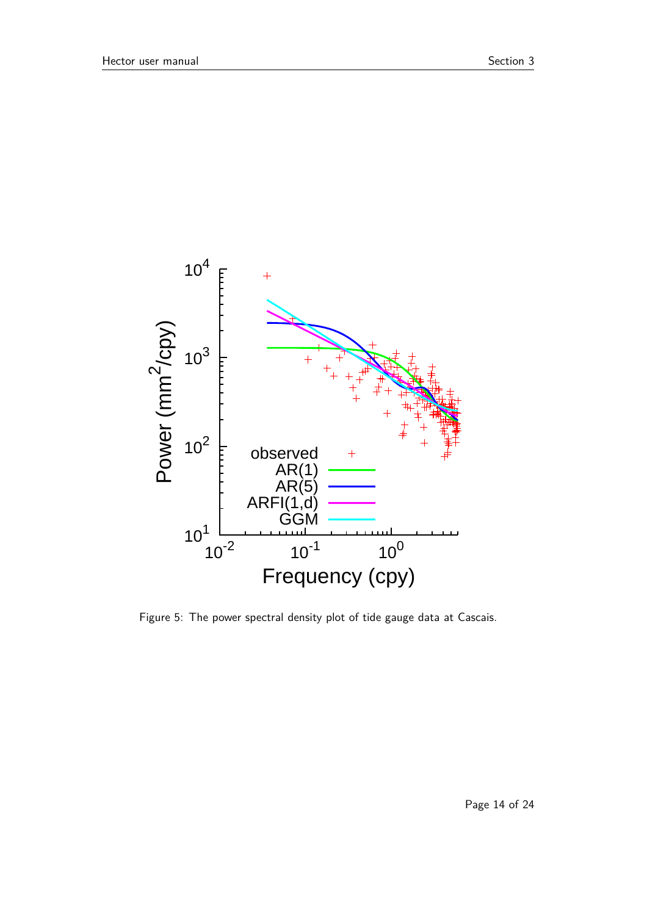

Figure 5: The power spectral density plot of tide gauge data at Cascais.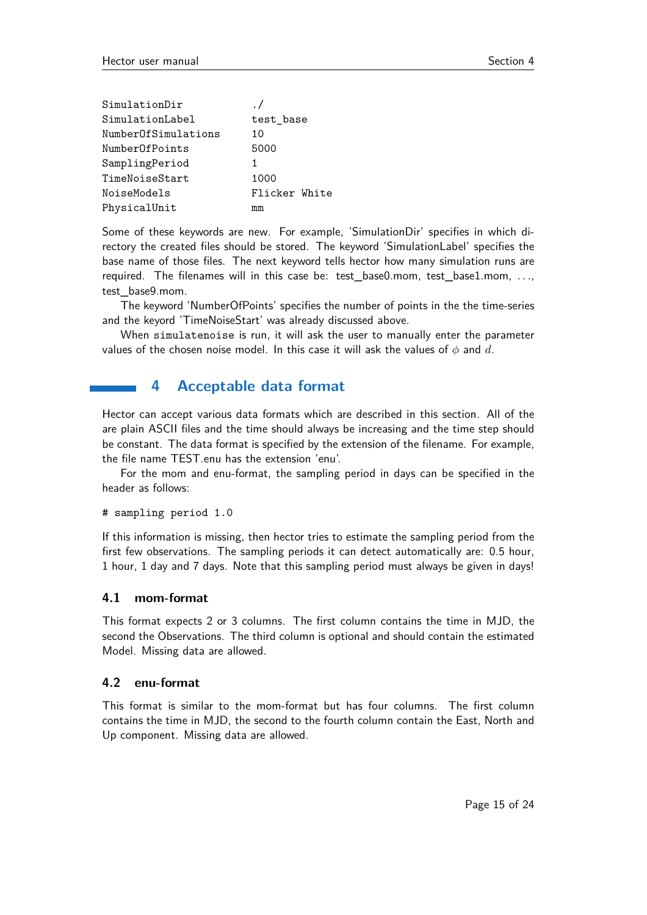| SimulationDir       |               |
|---------------------|---------------|
| SimulationLabel     | test_base     |
| NumberOfSimulations | 10            |
| NumberOfPoints      | 5000          |
| SamplingPeriod      | 1             |
| TimeNoiseStart      | 1000          |
| NoiseModels         | Flicker White |
| PhysicalUnit        | mm            |

Some of these keywords are new. For example, 'SimulationDir' specifies in which directory the created files should be stored. The keyword 'SimulationLabel' specifies the base name of those files. The next keyword tells hector how many simulation runs are required. The filenames will in this case be: test\_base0.mom, test\_base1.mom, *. . .*, test\_base9.mom.

The keyword 'NumberOfPoints' specifies the number of points in the the time-series and the keyord 'TimeNoiseStart' was already discussed above.

When simulatenoise is run, it will ask the user to manually enter the parameter values of the chosen noise model. In this case it will ask the values of *φ* and *d*.

## **4 Acceptable data format**

Hector can accept various data formats which are described in this section. All of the are plain ASCII files and the time should always be increasing and the time step should be constant. The data format is specified by the extension of the filename. For example, the file name TEST.enu has the extension 'enu'.

For the mom and enu-format, the sampling period in days can be specified in the header as follows:

```
# sampling period 1.0
```
If this information is missing, then hector tries to estimate the sampling period from the first few observations. The sampling periods it can detect automatically are: 0.5 hour, 1 hour, 1 day and 7 days. Note that this sampling period must always be given in days!

#### **4.1 mom-format**

This format expects 2 or 3 columns. The first column contains the time in MJD, the second the Observations. The third column is optional and should contain the estimated Model. Missing data are allowed.

#### **4.2 enu-format**

This format is similar to the mom-format but has four columns. The first column contains the time in MJD, the second to the fourth column contain the East, North and Up component. Missing data are allowed.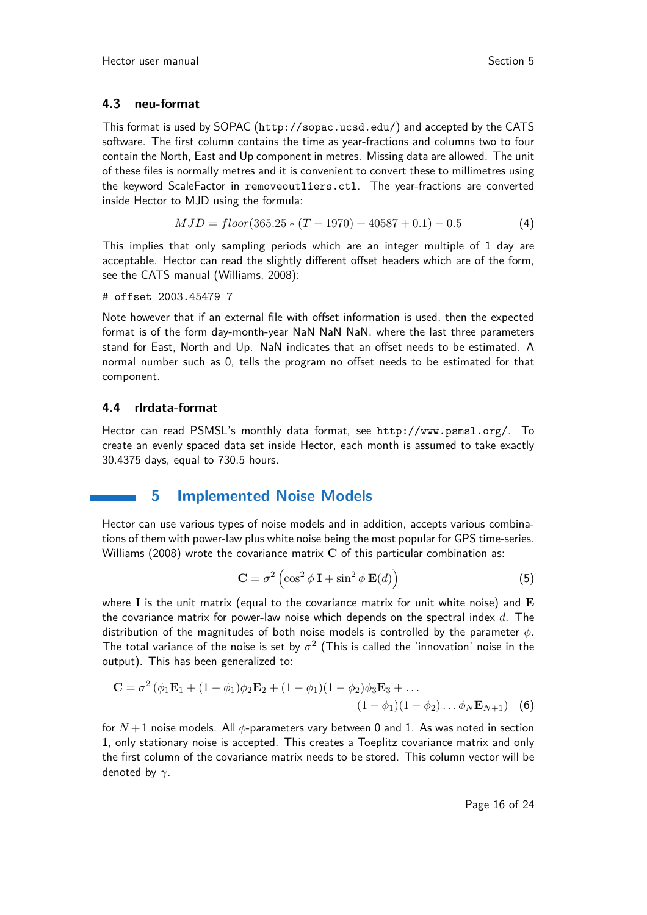#### **4.3 neu-format**

This format is used by SOPAC (http://sopac.ucsd.edu/) and accepted by the CATS software. The first column contains the time as year-fractions and columns two to four contain the North, East and Up component in metres. Missing data are allowed. The unit of these files is normally metres and it is convenient to convert these to millimetres using the keyword ScaleFactor in removeoutliers.ctl. The year-fractions are converted inside Hector to MJD using the formula:

$$
MJD = floor(365.25 * (T - 1970) + 40587 + 0.1) - 0.5
$$
\n(4)

This implies that only sampling periods which are an integer multiple of 1 day are acceptable. Hector can read the slightly different offset headers which are of the form, see the CATS manual (Williams, 2008):

```
# offset 2003.45479 7
```
Note however that if an external file with offset information is used, then the expected format is of the form day-month-year NaN NaN NaN. where the last three parameters stand for East, North and Up. NaN indicates that an offset needs to be estimated. A normal number such as 0, tells the program no offset needs to be estimated for that component.

#### **4.4 rlrdata-format**

Hector can read PSMSL's monthly data format, see http://www.psmsl.org/. To create an evenly spaced data set inside Hector, each month is assumed to take exactly 30.4375 days, equal to 730.5 hours.

## **5 Implemented Noise Models**

Hector can use various types of noise models and in addition, accepts various combinations of them with power-law plus white noise being the most popular for GPS time-series. Williams (2008) wrote the covariance matrix **C** of this particular combination as:

$$
\mathbf{C} = \sigma^2 \left( \cos^2 \phi \, \mathbf{I} + \sin^2 \phi \, \mathbf{E}(d) \right) \tag{5}
$$

where **I** is the unit matrix (equal to the covariance matrix for unit white noise) and **E** the covariance matrix for power-law noise which depends on the spectral index *d*. The distribution of the magnitudes of both noise models is controlled by the parameter *φ*. The total variance of the noise is set by  $\sigma^2$  (This is called the 'innovation' noise in the output). This has been generalized to:

$$
\mathbf{C} = \sigma^2 (\phi_1 \mathbf{E}_1 + (1 - \phi_1)\phi_2 \mathbf{E}_2 + (1 - \phi_1)(1 - \phi_2)\phi_3 \mathbf{E}_3 + ... (1 - \phi_1)(1 - \phi_2)... \phi_N \mathbf{E}_{N+1})
$$
(6)

for  $N+1$  noise models. All  $\phi$ -parameters vary between 0 and 1. As was noted in section 1, only stationary noise is accepted. This creates a Toeplitz covariance matrix and only the first column of the covariance matrix needs to be stored. This column vector will be denoted by *γ*.

Page 16 of 24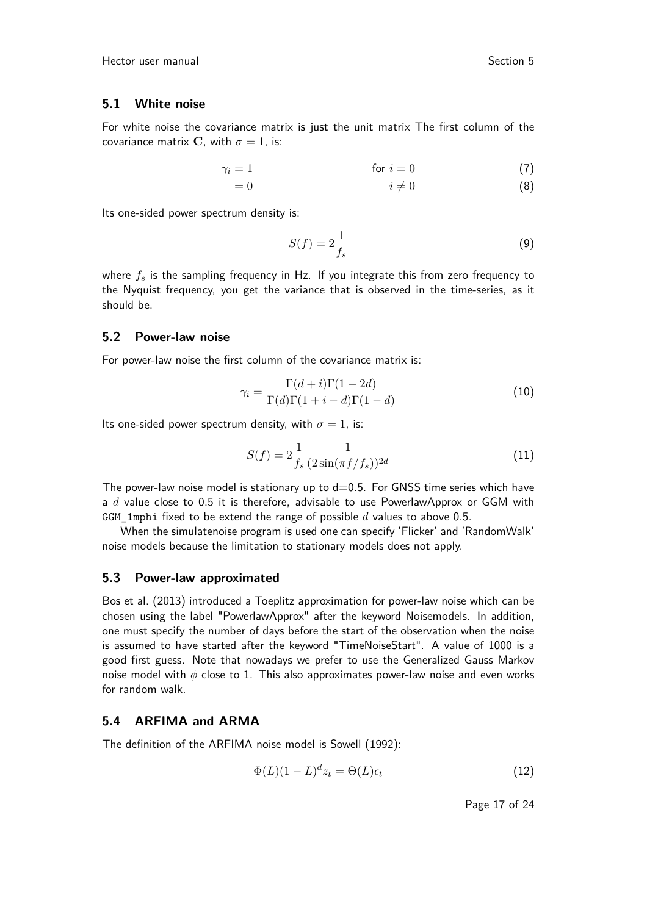#### **5.1 White noise**

For white noise the covariance matrix is just the unit matrix The first column of the covariance matrix **C**, with  $\sigma = 1$ , is:

$$
\gamma_i = 1 \qquad \qquad \text{for } i = 0 \tag{7}
$$

$$
i \neq 0 \tag{8}
$$

Its one-sided power spectrum density is:

$$
S(f) = 2\frac{1}{f_s} \tag{9}
$$

where *f<sup>s</sup>* is the sampling frequency in Hz. If you integrate this from zero frequency to the Nyquist frequency, you get the variance that is observed in the time-series, as it should be.

#### **5.2 Power-law noise**

For power-law noise the first column of the covariance matrix is:

$$
\gamma_i = \frac{\Gamma(d+i)\Gamma(1-2d)}{\Gamma(d)\Gamma(1+i-d)\Gamma(1-d)}\tag{10}
$$

Its one-sided power spectrum density, with  $\sigma = 1$ , is:

$$
S(f) = 2\frac{1}{f_s} \frac{1}{(2\sin(\pi f/f_s))^{2d}}
$$
\n(11)

The power-law noise model is stationary up to  $d=0.5$ . For GNSS time series which have a *d* value close to 0.5 it is therefore, advisable to use PowerlawApprox or GGM with GGM\_1mphi fixed to be extend the range of possible *d* values to above 0.5.

When the simulatenoise program is used one can specify 'Flicker' and 'RandomWalk' noise models because the limitation to stationary models does not apply.

#### **5.3 Power-law approximated**

Bos et al. (2013) introduced a Toeplitz approximation for power-law noise which can be chosen using the label "PowerlawApprox" after the keyword Noisemodels. In addition, one must specify the number of days before the start of the observation when the noise is assumed to have started after the keyword "TimeNoiseStart". A value of 1000 is a good first guess. Note that nowadays we prefer to use the Generalized Gauss Markov noise model with *φ* close to 1. This also approximates power-law noise and even works for random walk.

#### **5.4 ARFIMA and ARMA**

The definition of the ARFIMA noise model is Sowell (1992):

$$
\Phi(L)(1-L)^{d}z_t = \Theta(L)\epsilon_t
$$
\n(12)

Page 17 of 24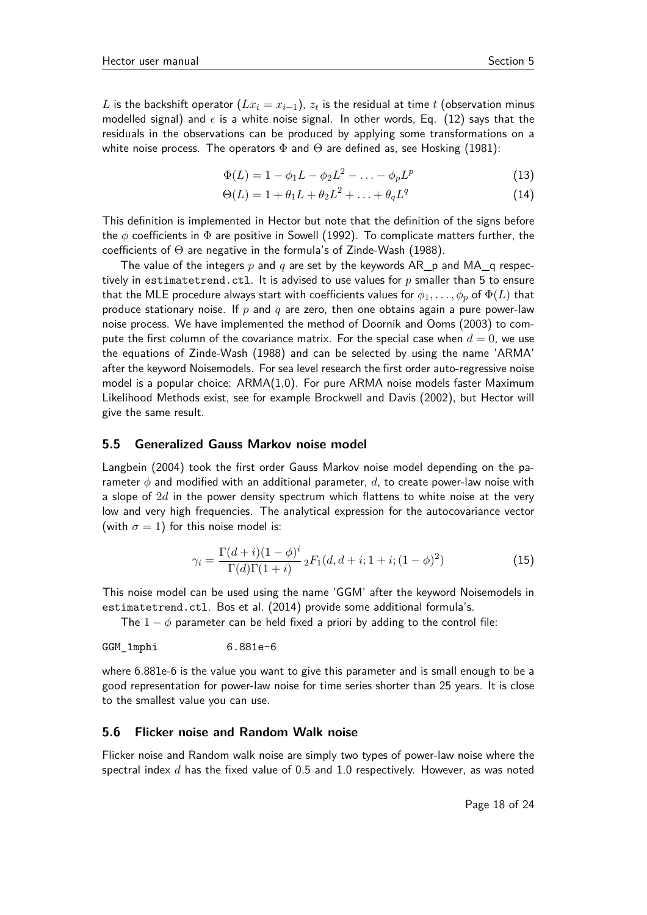$$
\Phi(L) = 1 - \phi_1 L - \phi_2 L^2 - \dots - \phi_p L^p \tag{13}
$$

$$
\Theta(L) = 1 + \theta_1 L + \theta_2 L^2 + \ldots + \theta_q L^q \tag{14}
$$

This definition is implemented in Hector but note that the definition of the signs before the *φ* coefficients in Φ are positive in Sowell (1992). To complicate matters further, the coefficients of Θ are negative in the formula's of Zinde-Wash (1988).

The value of the integers *p* and *q* are set by the keywords AR\_p and MA\_q respectively in estimatetrend.ctl. It is advised to use values for *p* smaller than 5 to ensure that the MLE procedure always start with coefficients values for  $\phi_1, \ldots, \phi_p$  of  $\Phi(L)$  that produce stationary noise. If *p* and *q* are zero, then one obtains again a pure power-law noise process. We have implemented the method of Doornik and Ooms (2003) to compute the first column of the covariance matrix. For the special case when  $d = 0$ , we use the equations of Zinde-Wash (1988) and can be selected by using the name 'ARMA' after the keyword Noisemodels. For sea level research the first order auto-regressive noise model is a popular choice: ARMA(1,0). For pure ARMA noise models faster Maximum Likelihood Methods exist, see for example Brockwell and Davis (2002), but Hector will give the same result.

#### **5.5 Generalized Gauss Markov noise model**

Langbein (2004) took the first order Gauss Markov noise model depending on the parameter *φ* and modified with an additional parameter, *d*, to create power-law noise with a slope of 2*d* in the power density spectrum which flattens to white noise at the very low and very high frequencies. The analytical expression for the autocovariance vector (with  $\sigma = 1$ ) for this noise model is:

$$
\gamma_i = \frac{\Gamma(d+i)(1-\phi)^i}{\Gamma(d)\Gamma(1+i)} {}_2F_1(d, d+i; 1+i; (1-\phi)^2)
$$
\n(15)

This noise model can be used using the name 'GGM' after the keyword Noisemodels in estimatetrend.ctl. Bos et al. (2014) provide some additional formula's.

The  $1 - \phi$  parameter can be held fixed a priori by adding to the control file:

GGM\_1mphi 6.881e-6

where 6.881e-6 is the value you want to give this parameter and is small enough to be a good representation for power-law noise for time series shorter than 25 years. It is close to the smallest value you can use.

#### **5.6 Flicker noise and Random Walk noise**

Flicker noise and Random walk noise are simply two types of power-law noise where the spectral index *d* has the fixed value of 0.5 and 1.0 respectively. However, as was noted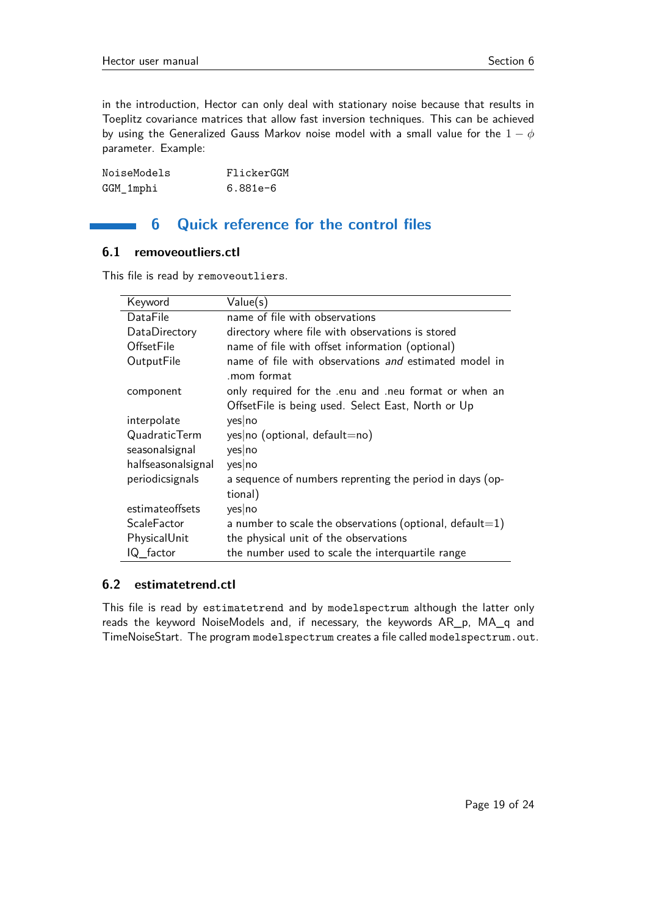in the introduction, Hector can only deal with stationary noise because that results in Toeplitz covariance matrices that allow fast inversion techniques. This can be achieved by using the Generalized Gauss Markov noise model with a small value for the 1 − *φ* parameter. Example:

| NoiseModels | FlickerGGM |
|-------------|------------|
| GGM_1mphi   | $6.881e-6$ |

## **6 Quick reference for the control files**

#### **6.1 removeoutliers.ctl**

This file is read by removeoutliers.

| Keyword            | Value(s)                                                                                                   |
|--------------------|------------------------------------------------------------------------------------------------------------|
| DataFile           | name of file with observations                                                                             |
| DataDirectory      | directory where file with observations is stored                                                           |
| <b>OffsetFile</b>  | name of file with offset information (optional)                                                            |
| OutputFile         | name of file with observations and estimated model in<br>.mom format                                       |
| component          | only required for the enu and neu format or when an<br>Offset File is being used. Select East, North or Up |
| interpolate        | yes no                                                                                                     |
| QuadraticTerm      | yes no (optional, default=no)                                                                              |
| seasonalsignal     | yes no                                                                                                     |
| halfseasonalsignal | yes no                                                                                                     |
| periodicsignals    | a sequence of numbers reprenting the period in days (op-<br>tional)                                        |
| estimateoffsets    | yes no                                                                                                     |
| <b>ScaleFactor</b> | a number to scale the observations (optional, default=1)                                                   |
| PhysicalUnit       | the physical unit of the observations                                                                      |
| IQ_factor          | the number used to scale the interquartile range                                                           |

#### **6.2 estimatetrend.ctl**

This file is read by estimatetrend and by modelspectrum although the latter only reads the keyword NoiseModels and, if necessary, the keywords AR\_p, MA\_q and TimeNoiseStart. The program modelspectrum creates a file called modelspectrum.out.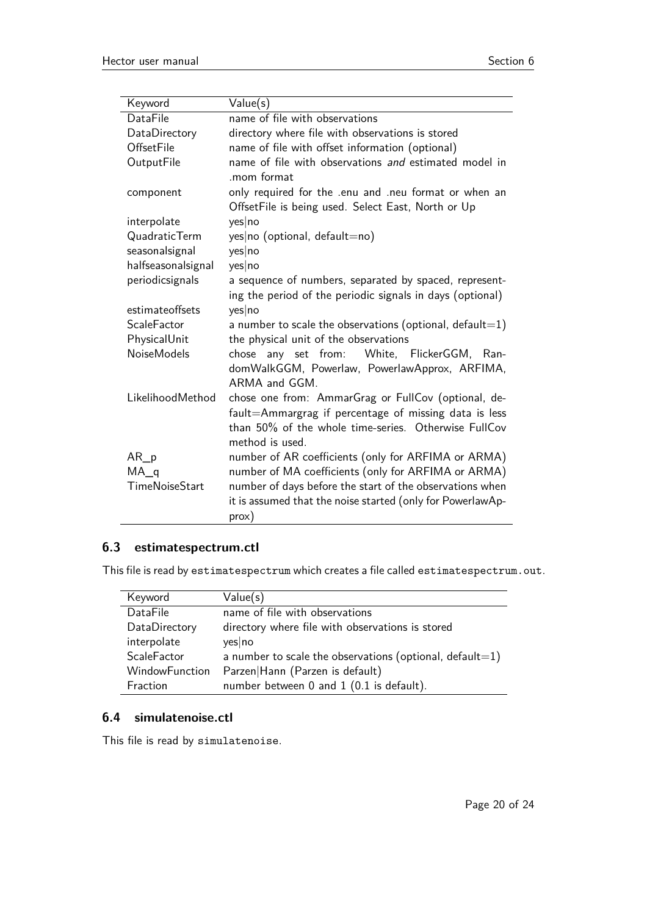| Keyword            | Value(s)                                                                                                                                                                                |
|--------------------|-----------------------------------------------------------------------------------------------------------------------------------------------------------------------------------------|
| DataFile           | name of file with observations                                                                                                                                                          |
| DataDirectory      | directory where file with observations is stored                                                                                                                                        |
| <b>OffsetFile</b>  | name of file with offset information (optional)                                                                                                                                         |
| OutputFile         | name of file with observations and estimated model in<br>mom format                                                                                                                     |
| component          | only required for the .enu and .neu format or when an<br>OffsetFile is being used. Select East, North or Up                                                                             |
| interpolate        | yes no                                                                                                                                                                                  |
| QuadraticTerm      | yes no (optional, default=no)                                                                                                                                                           |
| seasonalsignal     | yes no                                                                                                                                                                                  |
| halfseasonalsignal | yes no                                                                                                                                                                                  |
| periodicsignals    | a sequence of numbers, separated by spaced, represent-                                                                                                                                  |
|                    | ing the period of the periodic signals in days (optional)                                                                                                                               |
| estimateoffsets    | yes no                                                                                                                                                                                  |
| ScaleFactor        | a number to scale the observations (optional, default=1)                                                                                                                                |
| PhysicalUnit       | the physical unit of the observations                                                                                                                                                   |
| <b>NoiseModels</b> | chose any set from: White, FlickerGGM, Ran-<br>domWalkGGM, Powerlaw, PowerlawApprox, ARFIMA,<br>ARMA and GGM.                                                                           |
| LikelihoodMethod   | chose one from: AmmarGrag or FullCov (optional, de-<br>fault=Ammargrag if percentage of missing data is less<br>than 50% of the whole time-series. Otherwise FullCov<br>method is used. |
| $AR_p$             | number of AR coefficients (only for ARFIMA or ARMA)                                                                                                                                     |
| $MA_q$             | number of MA coefficients (only for ARFIMA or ARMA)                                                                                                                                     |
| TimeNoiseStart     | number of days before the start of the observations when                                                                                                                                |
|                    | it is assumed that the noise started (only for PowerlawAp-<br>prox)                                                                                                                     |

## **6.3 estimatespectrum.ctl**

This file is read by estimatespectrum which creates a file called estimatespectrum.out.

| Keyword        | Value(s)                                                 |
|----------------|----------------------------------------------------------|
| DataFile       | name of file with observations                           |
| DataDirectory  | directory where file with observations is stored         |
| interpolate    | yes no                                                   |
| ScaleFactor    | a number to scale the observations (optional, default=1) |
| WindowFunction | Parzen Hann (Parzen is default)                          |
| Fraction       | number between 0 and 1 (0.1 is default).                 |

#### **6.4 simulatenoise.ctl**

This file is read by simulatenoise.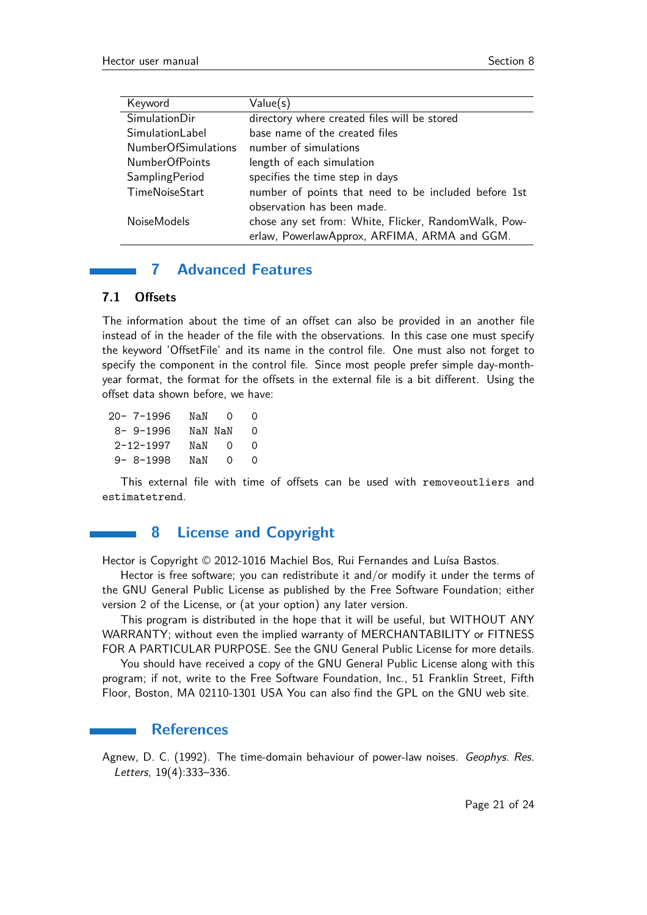| Keyword                    | Value(s)                                             |
|----------------------------|------------------------------------------------------|
| <b>SimulationDir</b>       | directory where created files will be stored         |
| SimulationLabel            | base name of the created files                       |
| <b>NumberOfSimulations</b> | number of simulations                                |
| NumberOfPoints             | length of each simulation                            |
| SamplingPeriod             | specifies the time step in days                      |
| TimeNoiseStart             | number of points that need to be included before 1st |
|                            | observation has been made.                           |
| <b>NoiseModels</b>         | chose any set from: White, Flicker, RandomWalk, Pow- |
|                            | erlaw, PowerlawApprox, ARFIMA, ARMA and GGM.         |

## **7 Advanced Features**

#### **7.1 Offsets**

The information about the time of an offset can also be provided in an another file instead of in the header of the file with the observations. In this case one must specify the keyword 'OffsetFile' and its name in the control file. One must also not forget to specify the component in the control file. Since most people prefer simple day-monthyear format, the format for the offsets in the external file is a bit different. Using the offset data shown before, we have:

| $20 - 7 - 1996$ | NaN     | $\Omega$ | 0             |
|-----------------|---------|----------|---------------|
| 8-9-1996        | NaN NaN |          | 0             |
| $2 - 12 - 1997$ | NaN     | $\Omega$ | O             |
| $9 - 8 - 1998$  | NaN     | 0        | $\mathcal{L}$ |

This external file with time of offsets can be used with removeoutliers and estimatetrend.

#### **8 License and Copyright**

Hector is Copyright © 2012-1016 Machiel Bos, Rui Fernandes and Luísa Bastos.

Hector is free software; you can redistribute it and/or modify it under the terms of the GNU General Public License as published by the Free Software Foundation; either version 2 of the License, or (at your option) any later version.

This program is distributed in the hope that it will be useful, but WITHOUT ANY WARRANTY; without even the implied warranty of MERCHANTABILITY or FITNESS FOR A PARTICULAR PURPOSE. See the GNU General Public License for more details.

You should have received a copy of the GNU General Public License along with this program; if not, write to the Free Software Foundation, Inc., 51 Franklin Street, Fifth Floor, Boston, MA 02110-1301 USA You can also find the GPL on the GNU web site.

#### **References**

Agnew, D. C. (1992). The time-domain behaviour of power-law noises. Geophys. Res. Letters, 19(4):333–336.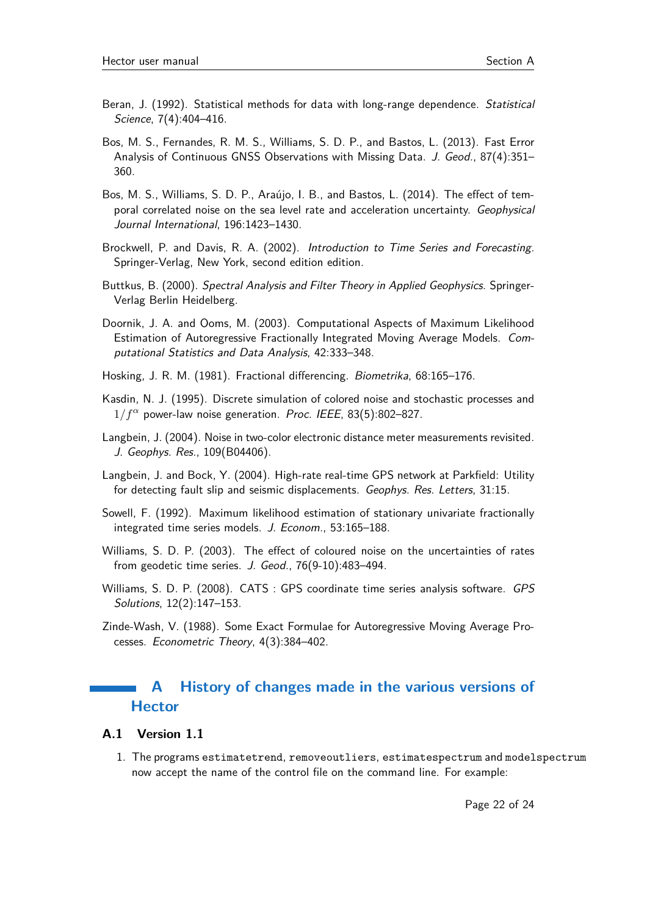- Beran, J. (1992). Statistical methods for data with long-range dependence. Statistical Science, 7(4):404–416.
- Bos, M. S., Fernandes, R. M. S., Williams, S. D. P., and Bastos, L. (2013). Fast Error Analysis of Continuous GNSS Observations with Missing Data. J. Geod., 87(4):351– 360.
- Bos, M. S., Williams, S. D. P., Araújo, I. B., and Bastos, L. (2014). The effect of temporal correlated noise on the sea level rate and acceleration uncertainty. Geophysical Journal International, 196:1423–1430.
- Brockwell, P. and Davis, R. A. (2002). Introduction to Time Series and Forecasting. Springer-Verlag, New York, second edition edition.
- Buttkus, B. (2000). Spectral Analysis and Filter Theory in Applied Geophysics. Springer-Verlag Berlin Heidelberg.
- Doornik, J. A. and Ooms, M. (2003). Computational Aspects of Maximum Likelihood Estimation of Autoregressive Fractionally Integrated Moving Average Models. Computational Statistics and Data Analysis, 42:333–348.
- Hosking, J. R. M. (1981). Fractional differencing. Biometrika, 68:165–176.
- Kasdin, N. J. (1995). Discrete simulation of colored noise and stochastic processes and  $1/f^{\alpha}$  power-law noise generation. *Proc. IEEE*, 83(5):802–827.
- Langbein, J. (2004). Noise in two-color electronic distance meter measurements revisited. J. Geophys. Res., 109(B04406).
- Langbein, J. and Bock, Y. (2004). High-rate real-time GPS network at Parkfield: Utility for detecting fault slip and seismic displacements. Geophys. Res. Letters, 31:15.
- Sowell, F. (1992). Maximum likelihood estimation of stationary univariate fractionally integrated time series models. J. Econom., 53:165–188.
- Williams, S. D. P. (2003). The effect of coloured noise on the uncertainties of rates from geodetic time series. J. Geod., 76(9-10):483–494.
- Williams, S. D. P. (2008). CATS : GPS coordinate time series analysis software. GPS Solutions, 12(2):147–153.
- Zinde-Wash, V. (1988). Some Exact Formulae for Autoregressive Moving Average Processes. Econometric Theory, 4(3):384–402.

## **A History of changes made in the various versions of Hector**

#### **A.1 Version 1.1**

1. The programs estimatetrend, removeoutliers, estimatespectrum and modelspectrum now accept the name of the control file on the command line. For example: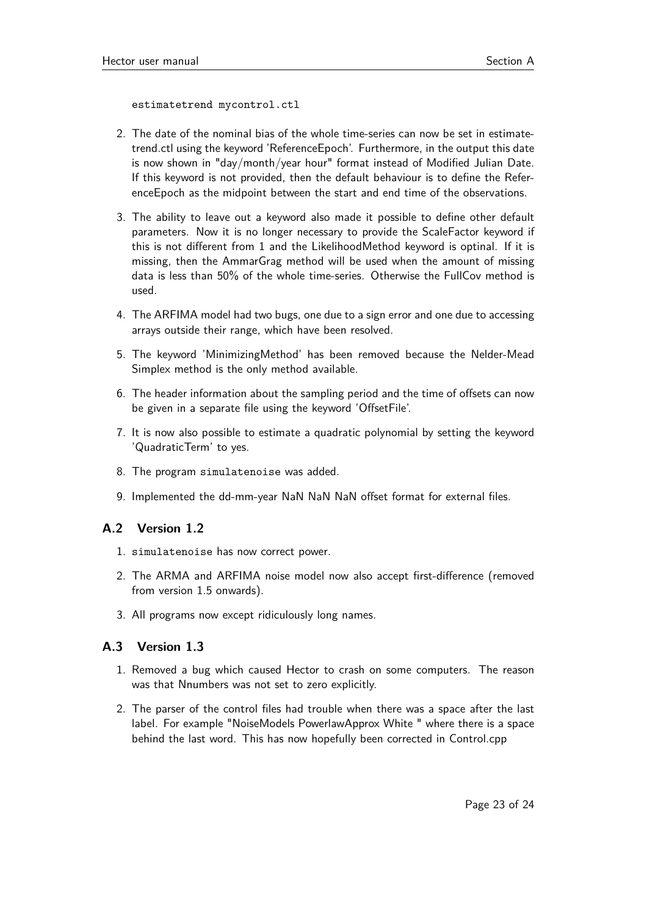estimatetrend mycontrol.ctl

- 2. The date of the nominal bias of the whole time-series can now be set in estimatetrend.ctl using the keyword 'ReferenceEpoch'. Furthermore, in the output this date is now shown in "day/month/year hour" format instead of Modified Julian Date. If this keyword is not provided, then the default behaviour is to define the ReferenceEpoch as the midpoint between the start and end time of the observations.
- 3. The ability to leave out a keyword also made it possible to define other default parameters. Now it is no longer necessary to provide the ScaleFactor keyword if this is not different from 1 and the LikelihoodMethod keyword is optinal. If it is missing, then the AmmarGrag method will be used when the amount of missing data is less than 50% of the whole time-series. Otherwise the FullCov method is used.
- 4. The ARFIMA model had two bugs, one due to a sign error and one due to accessing arrays outside their range, which have been resolved.
- 5. The keyword 'MinimizingMethod' has been removed because the Nelder-Mead Simplex method is the only method available.
- 6. The header information about the sampling period and the time of offsets can now be given in a separate file using the keyword 'OffsetFile'.
- 7. It is now also possible to estimate a quadratic polynomial by setting the keyword 'QuadraticTerm' to yes.
- 8. The program simulatenoise was added.
- 9. Implemented the dd-mm-year NaN NaN NaN offset format for external files.

#### **A.2 Version 1.2**

- 1. simulatenoise has now correct power.
- 2. The ARMA and ARFIMA noise model now also accept first-difference (removed from version 1.5 onwards).
- 3. All programs now except ridiculously long names.

### **A.3 Version 1.3**

- 1. Removed a bug which caused Hector to crash on some computers. The reason was that Nnumbers was not set to zero explicitly.
- 2. The parser of the control files had trouble when there was a space after the last label. For example "NoiseModels PowerlawApprox White " where there is a space behind the last word. This has now hopefully been corrected in Control.cpp